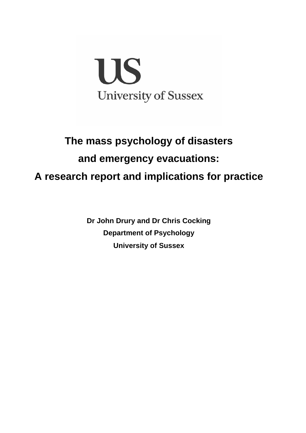

# **The mass psychology of disasters and emergency evacuations: A research report and implications for practice**

**Dr John Drury and Dr Chris Cocking Department of Psychology University of Sussex**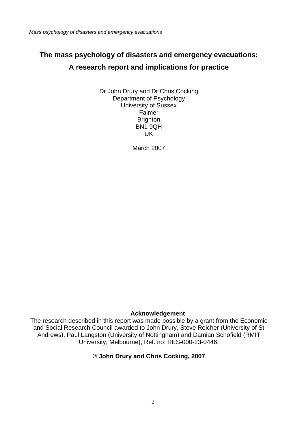# **The mass psychology of disasters and emergency evacuations: A research report and implications for practice**

Dr John Drury and Dr Chris Cocking Department of Psychology University of Sussex Falmer **Brighton** BN1 9QH UK

March 2007

#### **Acknowledgement**

The research described in this report was made possible by a grant from the Economic and Social Research Council awarded to John Drury, Steve Reicher (University of St Andrews), Paul Langston (University of Nottingham) and Damian Schofield (RMIT University, Melbourne), Ref. no: RES-000-23-0446.

#### **© John Drury and Chris Cocking, 2007**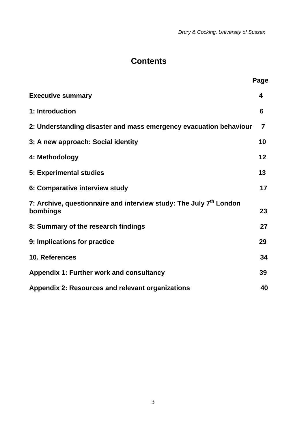*Drury & Cocking, University of Sussex* 

# **Contents**

|                                                                                            | Page |
|--------------------------------------------------------------------------------------------|------|
| <b>Executive summary</b>                                                                   | 4    |
| 1: Introduction                                                                            | 6    |
| 2: Understanding disaster and mass emergency evacuation behaviour                          | 7    |
| 3: A new approach: Social identity                                                         | 10   |
| 4: Methodology                                                                             | 12   |
| 5: Experimental studies                                                                    | 13   |
| 6: Comparative interview study                                                             | 17   |
| 7: Archive, questionnaire and interview study: The July 7 <sup>th</sup> London<br>bombings | 23   |
| 8: Summary of the research findings                                                        | 27   |
| 9: Implications for practice                                                               | 29   |
| 10. References                                                                             | 34   |
| <b>Appendix 1: Further work and consultancy</b>                                            | 39   |
| Appendix 2: Resources and relevant organizations                                           | 40   |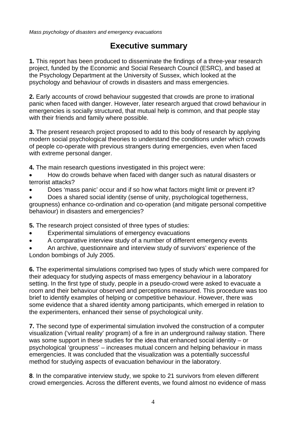## **Executive summary**

**1.** This report has been produced to disseminate the findings of a three-year research project, funded by the Economic and Social Research Council (ESRC), and based at the Psychology Department at the University of Sussex, which looked at the psychology and behaviour of crowds in disasters and mass emergencies.

**2.** Early accounts of crowd behaviour suggested that crowds are prone to irrational panic when faced with danger. However, later research argued that crowd behaviour in emergencies is socially structured, that mutual help is common, and that people stay with their friends and family where possible.

**3.** The present research project proposed to add to this body of research by applying modern social psychological theories to understand the conditions under which crowds of people co-operate with previous strangers during emergencies, even when faced with extreme personal danger.

**4.** The main research questions investigated in this project were:

- How do crowds behave when faced with danger such as natural disasters or terrorist attacks?
- Does 'mass panic' occur and if so how what factors might limit or prevent it?

• Does a shared social identity (sense of unity, psychological togetherness, groupness) enhance co-ordination and co-operation (and mitigate personal competitive behaviour) in disasters and emergencies?

**5.** The research project consisted of three types of studies:

- Experimental simulations of emergency evacuations
- A comparative interview study of a number of different emergency events

• An archive, questionnaire and interview study of survivors' experience of the London bombings of July 2005.

**6.** The experimental simulations comprised two types of study which were compared for their adequacy for studying aspects of mass emergency behaviour in a laboratory setting. In the first type of study, people in a pseudo-crowd were asked to evacuate a room and their behaviour observed and perceptions measured. This procedure was too brief to identify examples of helping or competitive behaviour. However, there was some evidence that a shared identity among participants, which emerged in relation to the experimenters, enhanced their sense of psychological unity.

**7.** The second type of experimental simulation involved the construction of a computer visualization ('virtual reality' program) of a fire in an underground railway station. There was some support in these studies for the idea that enhanced social identity – or psychological 'groupness' – increases mutual concern and helping behaviour in mass emergencies. It was concluded that the visualization was a potentially successful method for studying aspects of evacuation behaviour in the laboratory.

**8**. In the comparative interview study, we spoke to 21 survivors from eleven different crowd emergencies. Across the different events, we found almost no evidence of mass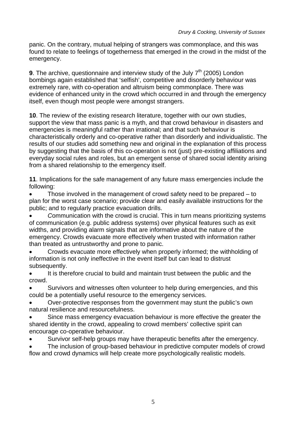panic. On the contrary, mutual helping of strangers was commonplace, and this was found to relate to feelings of togetherness that emerged in the crowd in the midst of the emergency.

**9**. The archive, questionnaire and interview study of the July 7<sup>th</sup> (2005) London bombings again established that 'selfish', competitive and disorderly behaviour was extremely rare, with co-operation and altruism being commonplace. There was evidence of enhanced unity in the crowd which occurred in and through the emergency itself, even though most people were amongst strangers.

**10**. The review of the existing research literature, together with our own studies, support the view that mass panic is a myth, and that crowd behaviour in disasters and emergencies is meaningful rather than irrational; and that such behaviour is characteristically orderly and co-operative rather than disorderly and individualistic. The results of our studies add something new and original in the explanation of this process by suggesting that the basis of this co-operation is not (just) pre-existing affiliations and everyday social rules and roles, but an emergent sense of shared social identity arising from a shared relationship to the emergency itself.

**11**. Implications for the safe management of any future mass emergencies include the following:

• Those involved in the management of crowd safety need to be prepared – to plan for the worst case scenario; provide clear and easily available instructions for the public; and to regularly practice evacuation drills.

• *C*ommunication with the crowd is crucial. This in turn means prioritizing systems of communication (e.g. public address systems) over physical features such as exit widths, and providing alarm signals that are informative about the nature of the emergency. Crowds evacuate more effectively when trusted with information rather than treated as untrustworthy and prone to panic.

• Crowds evacuate more effectively when properly informed; the withholding of information is not only ineffective in the event itself but can lead to distrust subsequently.

It is therefore crucial to build and maintain trust between the public and the crowd.

• Survivors and witnesses often volunteer to help during emergencies, and this could be a potentially useful resource to the emergency services.

• Over-protective responses from the government may stunt the public's own natural resilience and resourcefulness.

• Since mass emergency evacuation behaviour is more effective the greater the shared identity in the crowd, appealing to crowd members' collective spirit can encourage co-operative behaviour.

Survivor self-help groups may have therapeutic benefits after the emergency.

The inclusion of group-based behaviour in predictive computer models of crowd flow and crowd dynamics will help create more psychologically realistic models.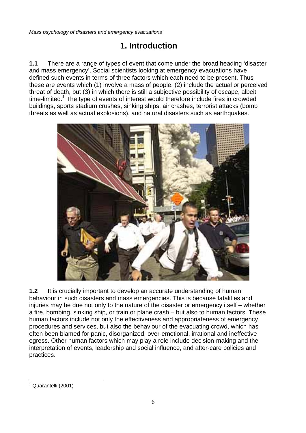# **1. Introduction**

**1.1** There are a range of types of event that come under the broad heading 'disaster and mass emergency'. Social scientists looking at emergency evacuations have defined such events in terms of three factors which each need to be present. Thus these are events which (1) involve a mass of people, (2) include the actual or perceived threat of death, but (3) in which there is still a subjective possibility of escape, albeit time-limited.<sup>[1](#page-5-0)</sup> The type of events of interest would therefore include fires in crowded buildings, sports stadium crushes, sinking ships, air crashes, terrorist attacks (bomb threats as well as actual explosions), and natural disasters such as earthquakes.



**1.2** It is crucially important to develop an accurate understanding of human behaviour in such disasters and mass emergencies. This is because fatalities and injuries may be due not only to the nature of the disaster or emergency itself – whether a fire, bombing, sinking ship, or train or plane crash – but also to human factors. These human factors include not only the effectiveness and appropriateness of emergency procedures and services, but also the behaviour of the evacuating crowd, which has often been blamed for panic, disorganized, over-emotional, irrational and ineffective egress. Other human factors which may play a role include decision-making and the interpretation of events, leadership and social influence, and after-care policies and practices.

<span id="page-5-0"></span> $\overline{a}$ <sup>1</sup> Quarantelli (2001)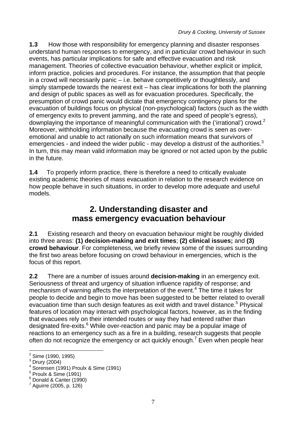**1.3** How those with responsibility for emergency planning and disaster responses understand human responses to emergency, and in particular crowd behaviour in such events, has particular implications for safe and effective evacuation and risk management. Theories of collective evacuation behaviour, whether explicit or implicit, inform practice, policies and procedures. For instance, the assumption that that people in a crowd will necessarily panic – i.e. behave competitively or thoughtlessly, and simply stampede towards the nearest exit – has clear implications for both the planning and design of public spaces as well as for evacuation procedures. Specifically, the presumption of crowd panic would dictate that emergency contingency plans for the evacuation of buildings focus on physical (non-psychological) factors (such as the width of emergency exits to prevent jamming, and the rate and speed of people's egress), downplaying the importance of meaningful communication with the ('irrational') crowd.<sup>[2](#page-6-0)</sup> Moreover, withholding information because the evacuating crowd is seen as overemotional and unable to act rationally on such information means that survivors of emergencies - and indeed the wider public - may develop a distrust of the authorities. $3$ In turn, this may mean valid information may be ignored or not acted upon by the public in the future.

**1.4** To properly inform practice, there is therefore a need to critically evaluate existing academic theories of mass evacuation in relation to the research evidence on how people behave in such situations, in order to develop more adequate and useful models.

### **2. Understanding disaster and mass emergency evacuation behaviour**

**2.1** Existing research and theory on evacuation behaviour might be roughly divided into three areas: **(1) decision-making and exit times**; **(2) clinical issues;** and **(3) crowd behaviour**. For completeness, we briefly review some of the issues surrounding the first two areas before focusing on crowd behaviour in emergencies, which is the focus of this report.

**2.2** There are a number of issues around **decision-making** in an emergency exit. Seriousness of threat and urgency of situation influence rapidity of response; and mechanism of warning affects the interpretation of the event.<sup>[4](#page-6-2)</sup> The time it takes for people to decide and begin to move has been suggested to be better related to overall evacuation time than such design features as exit width and travel distance.<sup>[5](#page-6-3)</sup> Physical features of location may interact with psychological factors, however, as in the finding that evacuees rely on their intended routes or way they had entered rather than designated fire-exits.<sup>[6](#page-6-4)</sup> While over-reaction and panic may be a popular image of reactions to an emergency such as a fire in a building, research suggests that people often do not recognize the emergency or act quickly enough.<sup>[7](#page-6-5)</sup> Even when people hear

<span id="page-6-0"></span><sup>&</sup>lt;u>2</u><br>2 Sime (1990, 1995)

<span id="page-6-1"></span> $^3$  Drury (2004)

<span id="page-6-2"></span><sup>4</sup> Sorensen (1991) Proulx & Sime (1991)

<span id="page-6-3"></span> $<sup>5</sup>$  Proulx & Sime (1991)</sup>

<span id="page-6-4"></span><sup>6</sup> Donald & Canter (1990)

<span id="page-6-5"></span> $^7$  Aguirre (2005, p. 126)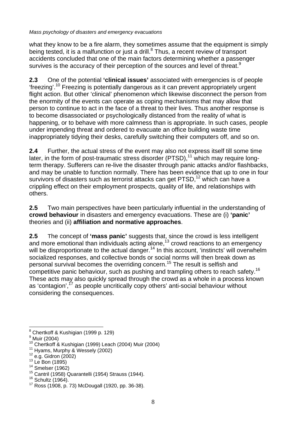what they know to be a fire alarm, they sometimes assume that the equipment is simply being tested, it is a malfunction or just a drill.<sup>[8](#page-7-0)</sup> Thus, a recent review of transport accidents concluded that one of the main factors determining whether a passenger survives is the accuracy of their perception of the sources and level of threat. $9$ 

**2.3** One of the potential **'clinical issues'** associated with emergencies is of people 'freezing'.[10](#page-7-2) Freezing is potentially dangerous as it can prevent appropriately urgent flight action. But other 'clinical' phenomenon which likewise disconnect the person from the enormity of the events can operate as coping mechanisms that may allow that person to continue to act in the face of a threat to their lives. Thus another response is to become disassociated or psychologically distanced from the reality of what is happening, or to behave with more calmness than is appropriate. In such cases, people under impending threat and ordered to evacuate an office building waste time inappropriately tidying their desks, carefully switching their computers off, and so on.

**2.4** Further, the actual stress of the event may also not express itself till some time later, in the form of post-traumatic stress disorder  $(PTSD)$ ,<sup>11</sup> which may require longterm therapy. Sufferers can re-live the disaster through panic attacks and/or flashbacks, and may be unable to function normally. There has been evidence that up to one in four survivors of disasters such as terrorist attacks can get PTSD,<sup>12</sup> which can have a crippling effect on their employment prospects, quality of life, and relationships with others.

**2.5** Two main perspectives have been particularly influential in the understanding of **crowd behaviour** in disasters and emergency evacuations. These are (i) **'panic'** theories and (ii) **affiliation and normative approaches**.

**2.5** The concept of **'mass panic'** suggests that, since the crowd is less intelligent and more emotional than individuals acting alone,<sup>13</sup> crowd reactions to an emergency will be disproportionate to the actual danger.<sup>14</sup> In this account, 'instincts' will overwhelm socialized responses, and collective bonds or social norms will then break down as personal survival becomes the overriding concern.[15](#page-7-7) The result is selfish and competitive panic behaviour, such as pushing and trampling others to reach safety.<sup>[16](#page-7-8)</sup> These acts may also quickly spread through the crowd as a whole in a process known as 'contagion',<sup>17</sup> as people uncritically copy others' anti-social behaviour without considering the consequences.

<span id="page-7-1"></span><span id="page-7-0"></span><sup>9</sup> Muir (2004)

<span id="page-7-6"></span>

 $\overline{a}$ <sup>8</sup> Chertkoff & Kushigian (1999 p. 129)

<span id="page-7-2"></span><sup>&</sup>lt;sup>10</sup> Chertkoff & Kushigian (1999) Leach (2004) Muir (2004)<br><sup>11</sup> Hyams, Murphy & Wessely (2002)<br><sup>12</sup> e.g. Gidron (2002)<br><sup>14</sup> Smelser (1962)<br><sup>14</sup> Smelser (1962)<br><sup>15</sup> Cantril (1958) Quarantelli (1954) Strauss (1944).<br><sup>16</sup> Sc

<span id="page-7-3"></span>

<span id="page-7-4"></span>

<span id="page-7-5"></span>

<span id="page-7-7"></span>

<span id="page-7-8"></span>

<span id="page-7-9"></span>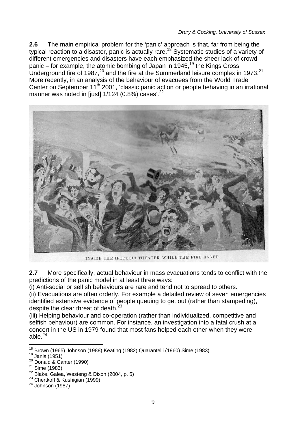**2.6** The main empirical problem for the 'panic' approach is that, far from being the typical reaction to a disaster, panic is actually rare.<sup>18</sup> Systematic studies of a variety of different emergencies and disasters have each emphasized the sheer lack of crowd panic – for example, the atomic bombing of Japan in 1945,<sup>19</sup> the Kings Cross Underground fire of 1987,<sup>20</sup> and the fire at the Summerland leisure complex in 1973.<sup>[21](#page-8-3)</sup> More recently, in an analysis of the behaviour of evacuees from the World Trade Center on September  $11^{th}$  2001, 'classic panic action or people behaving in an irrational manner was noted in [just] 1/124 (0.8%) cases'.<sup>22</sup>



INSIDE THE IROQUOIS THEATER WHILE THE FIRE RAGED.

**2.7** More specifically, actual behaviour in mass evacuations tends to conflict with the predictions of the panic model in at least three ways:

(i) Anti-social or selfish behaviours are rare and tend not to spread to others.

(ii) Evacuations are often orderly. For example a detailed review of seven emergencies identified extensive evidence of people queuing to get out (rather than stampeding), despite the clear threat of death. $^{23}$ 

(iii) Helping behaviour and co-operation (rather than individualized, competitive and selfish behaviour) are common. For instance, an investigation into a fatal crush at a concert in the US in 1979 found that most fans helped each other when they were able. $24$ 

 $\overline{a}$ <sup>18</sup> Brown (1965) Johnson (1988) Keating (1982) Quarantelli (1960) Sime (1983)<br><sup>19</sup> Janis (1951)<br><sup>20</sup> Donald & Canter (1990)<br><sup>21</sup> Sime (1983)<br><sup>22</sup> Blake, Galea, Westeng & Dixon (2004, p. 5)<br><sup>23</sup> Chertkoff & Kushigian (199

<span id="page-8-1"></span><span id="page-8-0"></span>

<span id="page-8-2"></span>

<span id="page-8-3"></span>

<span id="page-8-4"></span>

<span id="page-8-5"></span>

<span id="page-8-6"></span>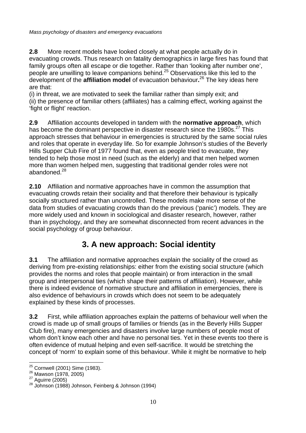**2.8** More recent models have looked closely at what people actually do in evacuating crowds. Thus research on fatality demographics in large fires has found that family groups often all escape or die together. Rather than 'looking after number one', people are unwilling to leave companions behind.[25](#page-9-0) Observations like this led to the development of the **affiliation model** of evacuation behaviour**.** [26](#page-9-1) The key ideas here are that:

(i) in threat, we are motivated to seek the familiar rather than simply exit; and (ii) the presence of familiar others (affiliates) has a calming effect, working against the 'fight or flight' reaction.

**2.9** Affiliation accounts developed in tandem with the **normative approach**, which has become the dominant perspective in disaster research since the 1980s.<sup>27</sup> This approach stresses that behaviour in emergencies is structured by the same social rules and roles that operate in everyday life. So for example Johnson's studies of the Beverly Hills Supper Club Fire of 1977 found that, even as people tried to evacuate, they tended to help those most in need (such as the elderly) and that men helped women more than women helped men, suggesting that traditional gender roles were not abandoned  $^{28}$  $^{28}$  $^{28}$ 

**2.10** Affiliation and normative approaches have in common the assumption that evacuating crowds retain their sociality and that therefore their behaviour is typically socially structured rather than uncontrolled. These models make more sense of the data from studies of evacuating crowds than do the previous ('panic') models. They are more widely used and known in sociological and disaster research, however, rather than in psychology, and they are somewhat disconnected from recent advances in the social psychology of group behaviour.

## **3. A new approach: Social identity**

**3.1** The affiliation and normative approaches explain the sociality of the crowd as deriving from pre-existing relationships: either from the existing social structure (which provides the norms and roles that people maintain) or from interaction in the small group and interpersonal ties (which shape their patterns of affiliation). However, while there is indeed evidence of normative structure and affiliation in emergencies, there is also evidence of behaviours in crowds which does not seem to be adequately explained by these kinds of processes.

**3.2** First, while affiliation approaches explain the patterns of behaviour well when the crowd is made up of small groups of families or friends (as in the Beverly Hills Supper Club fire), many emergencies and disasters involve large numbers of people most of whom don't know each other and have no personal ties. Yet in these events too there is often evidence of mutual helping and even self-sacrifice. It would be stretching the concept of 'norm' to explain some of this behaviour. While it might be normative to help

 $\overline{a}$ 

<span id="page-9-1"></span>

<span id="page-9-3"></span><span id="page-9-2"></span>

<span id="page-9-0"></span><sup>&</sup>lt;sup>25</sup> Cornwell (2001) Sime (1983).<br><sup>26</sup> Mawson (1978, 2005)<br><sup>27</sup> Aguirre (2005)<br><sup>28</sup> Johnson (1988) Johnson, Feinberg & Johnson (1994)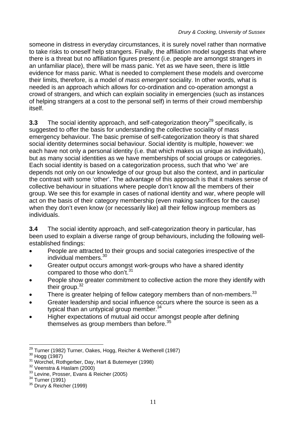someone in distress in everyday circumstances, it is surely novel rather than normative to take risks to oneself help strangers. Finally, the affiliation model suggests that where there is a threat but no affiliation figures present (i.e. people are amongst strangers in an unfamiliar place), there will be mass panic. Yet as we have seen, there is little evidence for mass panic. What is needed to complement these models and overcome their limits, therefore, is a model of *mass emergent* sociality. In other words, what is needed is an approach which allows for co-ordination and co-operation amongst a crowd of strangers, and which can explain sociality in emergencies (such as instances of helping strangers at a cost to the personal self) in terms of their crowd membership itself.

**3.3** The social identity approach, and self-categorization theory<sup>29</sup> specifically, is suggested to offer the basis for understanding the collective sociality of mass emergency behaviour. The basic premise of self-categorization theory is that shared social identity determines social behaviour. Social identity is multiple, however: we each have not only a personal identity (i.e. that which makes us unique as individuals), but as many social identities as we have memberships of social groups or categories. Each social identity is based on a categorization process, such that who 'we' are depends not only on our knowledge of our group but also the context, and in particular the contrast with some 'other'. The advantage of this approach is that it makes sense of collective behaviour in situations where people don't know all the members of their group. We see this for example in cases of national identity and war, where people will act on the basis of their category membership (even making sacrifices for the cause) when they don't even know (or necessarily like) all their fellow ingroup members as individuals.

**3.4** The social identity approach, and self-categorization theory in particular, has been used to explain a diverse range of group behaviours, including the following wellestablished findings:

- People are attracted to their groups and social categories irrespective of the individual members.[30](#page-10-1)
- Greater output occurs amongst work-groups who have a shared identity compared to those who don't. $31$
- People show greater commitment to collective action the more they identify with their group.<sup>32</sup>
- There is greater helping of fellow category members than of non-members.<sup>33</sup>
- Greater leadership and social influence occurs where the source is seen as a typical than an untypical group member.<sup>34</sup>
- Higher expectations of mutual aid occur amongst people after defining themselves as group members than before. $35$

 $\overline{a}$ <sup>29</sup> Turner (1982) Turner, Oakes, Hogg, Reicher & Wetherell (1987)<br><sup>30</sup> Hogg (1987)<br><sup>31</sup> Worchel, Rothgerber, Day, Hart & Butemeyer (1998)<br><sup>32</sup> Veenstra & Haslam (2000)<br><sup>33</sup> Levine, Prosser, Evans & Reicher (2005)<br><sup>34</sup> Tu

<span id="page-10-1"></span><span id="page-10-0"></span>

<span id="page-10-2"></span>

<span id="page-10-3"></span>

<span id="page-10-4"></span>

<span id="page-10-5"></span>

<span id="page-10-6"></span>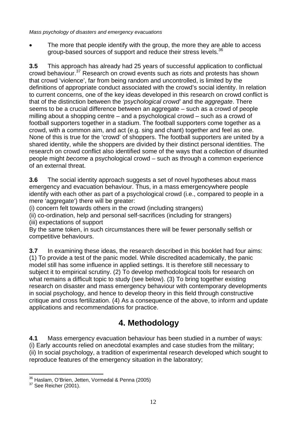The more that people identify with the group, the more they are able to access group-based sources of support and reduce their stress levels.<sup>[36](#page-11-0)</sup>

**3.5** This approach has already had 25 years of successful application to conflictual crowd behaviour.[37](#page-11-1) Research on crowd events such as riots and protests has shown that crowd 'violence', far from being random and uncontrolled, is limited by the definitions of appropriate conduct associated with the crowd's social identity. In relation to current concerns, one of the key ideas developed in this research on crowd conflict is that of the distinction between the *'psychological crowd'* and the *aggregate*. There seems to be a crucial difference between an aggregate – such as a crowd of people milling about a shopping centre – and a psychological crowd – such as a crowd of football supporters together in a stadium. The football supporters come together as a crowd, with a common aim, and act (e.g. sing and chant) together and feel as one. None of this is true for the 'crowd' of shoppers. The football supporters are united by a shared identity, while the shoppers are divided by their distinct personal identities. The research on crowd conflict also identified some of the ways that a collection of disunited people might *become* a psychological crowd – such as through a common experience of an external threat.

**3.6** The social identity approach suggests a set of novel hypotheses about mass emergency and evacuation behaviour. Thus, in a mass emergencywhere people identify with each other as part of a psychological crowd (i.e., compared to people in a mere 'aggregate') there will be greater:

(i) concern felt towards others in the crowd (including strangers)

(ii) co-ordination, help and personal self-sacrifices (including for strangers) (iii) expectations of support

By the same token, in such circumstances there will be fewer personally selfish or competitive behaviours.

**3.7** In examining these ideas, the research described in this booklet had four aims: (1) To provide a test of the panic model. While discredited academically, the panic model still has some influence in applied settings. It is therefore still necessary to subject it to empirical scrutiny. (2) To develop methodological tools for research on what remains a difficult topic to study (see below). (3) To bring together existing research on disaster and mass emergency behaviour with contemporary developments in social psychology, and hence to develop theory in this field through constructive critique and cross fertilization. (4) As a consequence of the above, to inform and update applications and recommendations for practice.

# **4. Methodology**

**4.1** Mass emergency evacuation behaviour has been studied in a number of ways: (i) Early accounts relied on anecdotal examples and case studies from the military; (ii) In social psychology, a tradition of experimental research developed which sought to reproduce features of the emergency situation in the laboratory;

<span id="page-11-0"></span> $\overline{a}$ <sup>36</sup> Haslam, O'Brien, Jetten, Vormedal & Penna (2005)<br><sup>37</sup> See Reicher (2001).

<span id="page-11-1"></span>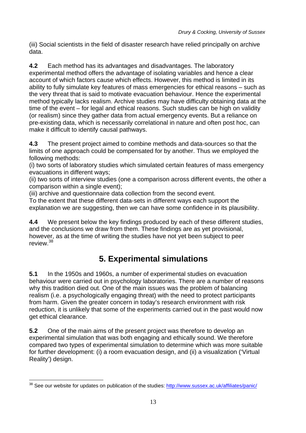(iii) Social scientists in the field of disaster research have relied principally on archive data.

**4.2** Each method has its advantages and disadvantages. The laboratory experimental method offers the advantage of isolating variables and hence a clear account of which factors cause which effects. However, this method is limited in its ability to fully simulate key features of mass emergencies for ethical reasons – such as the very threat that is said to motivate evacuation behaviour. Hence the experimental method typically lacks realism. Archive studies may have difficulty obtaining data at the time of the event – for legal and ethical reasons. Such studies can be high on validity (or realism) since they gather data from actual emergency events. But a reliance on pre-existing data, which is necessarily correlational in nature and often post hoc, can make it difficult to identify causal pathways.

**4.3** The present project aimed to combine methods and data-sources so that the limits of one approach could be compensated for by another. Thus we employed the following methods:

(i) two sorts of laboratory studies which simulated certain features of mass emergency evacuations in different ways;

(ii) two sorts of interview studies (one a comparison across different events, the other a comparison within a single event);

(iii) archive and questionnaire data collection from the second event.

To the extent that these different data-sets in different ways each support the explanation we are suggesting, then we can have some confidence in its plausibility.

**4.4** We present below the key findings produced by each of these different studies, and the conclusions we draw from them. These findings are as yet provisional, however, as at the time of writing the studies have not yet been subject to peer review $38$ 

# **5. Experimental simulations**

**5.1** In the 1950s and 1960s, a number of experimental studies on evacuation behaviour were carried out in psychology laboratories. There are a number of reasons why this tradition died out. One of the main issues was the problem of balancing realism (i.e. a psychologically engaging threat) with the need to protect participants from harm. Given the greater concern in today's research environment with risk reduction, it is unlikely that some of the experiments carried out in the past would now get ethical clearance.

**5.2** One of the main aims of the present project was therefore to develop an experimental simulation that was both engaging and ethically sound. We therefore compared two types of experimental simulation to determine which was more suitable for further development: (i) a room evacuation design, and (ii) a visualization ('Virtual Reality') design.

<span id="page-12-0"></span> $\overline{a}$ <sup>38</sup> See our website for updates on publication of the studies: <http://www.sussex.ac.uk/affiliates/panic/>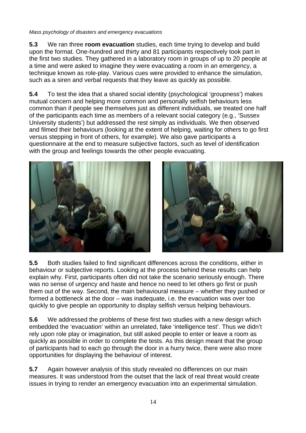**5.3** We ran three **room evacuation** studies, each time trying to develop and build upon the format. One-hundred and thirty and 81 participants respectively took part in the first two studies. They gathered in a laboratory room in groups of up to 20 people at a time and were asked to imagine they were evacuating a room in an emergency, a technique known as role-play. Various cues were provided to enhance the simulation, such as a siren and verbal requests that they leave as quickly as possible.

**5.4** To test the idea that a shared social identity (psychological 'groupness') makes mutual concern and helping more common and personally selfish behaviours less common than if people see themselves just as different individuals, we treated one half of the participants each time as members of a relevant social category (e.g., 'Sussex University students') but addressed the rest simply as individuals. We then observed and filmed their behaviours (looking at the extent of helping, waiting for others to go first versus stepping in front of others, for example). We also gave participants a questionnaire at the end to measure subjective factors, such as level of identification with the group and feelings towards the other people evacuating.



**5.5** Both studies failed to find significant differences across the conditions, either in behaviour or subjective reports. Looking at the process behind these results can help explain why. First, participants often did not take the scenario seriously enough. There was no sense of urgency and haste and hence no need to let others go first or push them out of the way. Second, the main behavioural measure – whether they pushed or formed a bottleneck at the door – was inadequate, i.e. the evacuation was over too quickly to give people an opportunity to display selfish versus helping behaviours.

**5.6** We addressed the problems of these first two studies with a new design which embedded the 'evacuation' within an unrelated, fake 'intelligence test'. Thus we didn't rely upon role play or imagination, but still asked people to enter or leave a room as quickly as possible in order to complete the tests. As this design meant that the group of participants had to each go through the door in a hurry twice, there were also more opportunities for displaying the behaviour of interest.

**5.7** Again however analysis of this study revealed no differences on our main measures. It was understood from the outset that the lack of real threat would create issues in trying to render an emergency evacuation into an experimental simulation.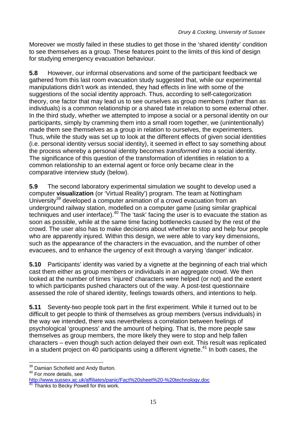Moreover we mostly failed in these studies to get those in the 'shared identity' condition to see themselves as a group. These features point to the limits of this kind of design for studying emergency evacuation behaviour.

**5.8** However, our informal observations and some of the participant feedback we gathered from this last room evacuation study suggested that, while our experimental manipulations didn't work as intended, they had effects in line with some of the suggestions of the social identity approach. Thus, according to self-categorization theory, one factor that may lead us to see ourselves as group members (rather than as individuals) is a common relationship or a shared fate in relation to some external other. In the third study, whether we attempted to impose a social or a personal identity on our participants, simply by cramming them into a small room together, we (unintentionally) made them see themselves as a group in relation to ourselves, the experimenters. Thus, while the study was set up to look at the different effects of given social identities (i.e. personal identity versus social identity), it seemed in effect to say something about the process whereby a personal identity becomes *transformed* into a social identity. The significance of this question of the transformation of identities in relation to a common relationship to an external agent or force only became clear in the comparative interview study (below).

**5.9** The second laboratory experimental simulation we sought to develop used a computer **visualization** (or 'Virtual Reality') program. The team at Nottingham University<sup>39</sup> developed a computer animation of a crowd evacuation from an underground railway station, modelled on a computer game (using similar graphical techniques and user interface).<sup>40</sup> The 'task' facing the user is to evacuate the station as soon as possible, while at the same time facing bottlenecks caused by the rest of the crowd. The user also has to make decisions about whether to stop and help four people who are apparently injured. Within this design, we were able to vary key dimensions, such as the appearance of the characters in the evacuation, and the number of other evacuees, and to enhance the urgency of exit through a varying 'danger' indicator.

**5.10** Participants' identity was varied by a vignette at the beginning of each trial which cast them either as group members or individuals in an aggregate crowd. We then looked at the number of times 'injured' characters were helped (or not) and the extent to which participants pushed characters out of the way. A post-test questionnaire assessed the role of shared identity, feelings towards others, and intentions to help.

**5.11** Seventy-two people took part in the first experiment. While it turned out to be difficult to get people to think of themselves as group members (versus individuals) in the way we intended, there was nevertheless a correlation between feelings of psychological 'groupness' and the amount of helping. That is, the more people saw themselves as group members, the more likely they were to stop and help fallen characters – even though such action delayed their own exit. This result was replicated in a student project on 40 participants using a different vignette.<sup>41</sup> In both cases, the

 $\overline{a}$  $39$  Damian Schofield and Andy Burton.<br> $40$  For more details, see

<span id="page-14-1"></span><span id="page-14-0"></span>

<span id="page-14-2"></span>[http://www.sussex.ac.uk/affiliates/panic/Fact%20sheet%20-%20technology.doc](http://www.sussex.ac.uk/affiliates/panic/Fact sheet - technology.doc)<br><sup>41</sup> Thanks to Becky Powell for this work.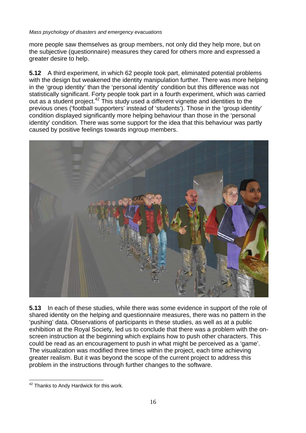more people saw themselves as group members, not only did they help more, but on the subjective (questionnaire) measures they cared for others more and expressed a greater desire to help.

**5.12** A third experiment, in which 62 people took part, eliminated potential problems with the design but weakened the identity manipulation further. There was more helping in the 'group identity' than the 'personal identity' condition but this difference was not statistically significant. Forty people took part in a fourth experiment, which was carried out as a student project.[42](#page-15-0) This study used a different vignette and identities to the previous ones ('football supporters' instead of 'students'). Those in the 'group identity' condition displayed significantly more helping behaviour than those in the 'personal identity' condition. There was some support for the idea that this behaviour was partly caused by positive feelings towards ingroup members.



**5.13** In each of these studies, while there was some evidence in support of the role of shared identity on the helping and questionnaire measures, there was no pattern in the 'pushing' data. Observations of participants in these studies, as well as at a public exhibition at the Royal Society, led us to conclude that there was a problem with the onscreen instruction at the beginning which explains how to push other characters. This could be read as an encouragement to push in what might be perceived as a 'game'. The visualization was modified three times within the project, each time achieving greater realism. But it was beyond the scope of the current project to address this problem in the instructions through further changes to the software.

<span id="page-15-0"></span> $\overline{a}$ <sup>42</sup> Thanks to Andy Hardwick for this work.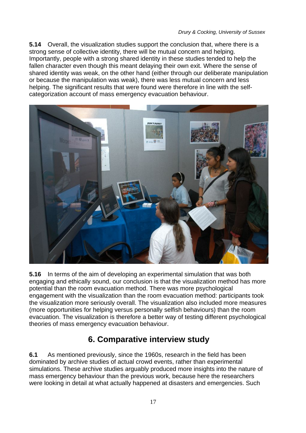**5.14** Overall, the visualization studies support the conclusion that, where there is a strong sense of collective identity, there will be mutual concern and helping. Importantly, people with a strong shared identity in these studies tended to help the fallen character even though this meant delaying their own exit. Where the sense of shared identity was weak, on the other hand (either through our deliberate manipulation or because the manipulation was weak), there was less mutual concern and less helping. The significant results that were found were therefore in line with the selfcategorization account of mass emergency evacuation behaviour.



**5.16** In terms of the aim of developing an experimental simulation that was both engaging and ethically sound, our conclusion is that the visualization method has more potential than the room evacuation method. There was more psychological engagement with the visualization than the room evacuation method: participants took the visualization more seriously overall. The visualization also included more measures (more opportunities for helping versus personally selfish behaviours) than the room evacuation. The visualization is therefore a better way of testing different psychological theories of mass emergency evacuation behaviour.

## **6. Comparative interview study**

**6.1** As mentioned previously, since the 1960s, research in the field has been dominated by archive studies of actual crowd events, rather than experimental simulations. These archive studies arguably produced more insights into the nature of mass emergency behaviour than the previous work, because here the researchers were looking in detail at what actually happened at disasters and emergencies. Such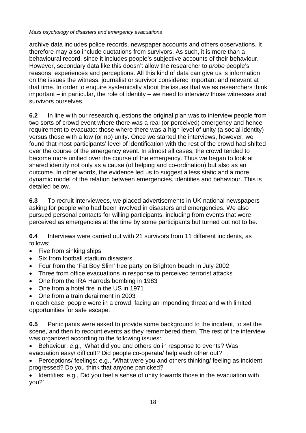archive data includes police records, newspaper accounts and others observations. It therefore may also include quotations from survivors. As such, it is more than a behavioural record, since it includes people's subjective accounts of their behaviour. However, secondary data like this doesn't allow the researcher to *probe* people's reasons, experiences and perceptions. All this kind of data can give us is information on the issues the witness, journalist or survivor considered important and relevant at that time. In order to enquire systemically about the issues that we as researchers think important – in particular, the role of identity – we need to interview those witnesses and survivors ourselves.

**6.2** In line with our research questions the original plan was to interview people from two sorts of crowd event where there was a real (or perceived) emergency and hence requirement to evacuate: those where there was a high level of unity (a social identity) versus those with a low (or no) unity. Once we started the interviews, however, we found that most participants' level of identification with the rest of the crowd had shifted over the course of the emergency event. In almost all cases, the crowd tended to become more unified over the course of the emergency. Thus we began to look at shared identity not only as a cause (of helping and co-ordination) but also as an outcome. In other words, the evidence led us to suggest a less static and a more dynamic model of the relation between emergencies, identities and behaviour. This is detailed below.

**6.3** To recruit interviewees, we placed advertisements in UK national newspapers asking for people who had been involved in disasters and emergencies. We also pursued personal contacts for willing participants, including from events that were perceived as emergencies at the time by some participants but turned out not to be.

**6.4** Interviews were carried out with 21 survivors from 11 different incidents, as follows:

- Five from sinking ships
- Six from football stadium disasters
- Four from the 'Fat Boy Slim' free party on Brighton beach in July 2002
- Three from office evacuations in response to perceived terrorist attacks
- One from the IRA Harrods bombing in 1983
- One from a hotel fire in the US in 1971
- One from a train derailment in 2003

In each case, people were in a crowd, facing an impending threat and with limited opportunities for safe escape.

**6.5** Participants were asked to provide some background to the incident, to set the scene, and then to recount events as they remembered them. The rest of the interview was organized according to the following issues:

• Behaviour: e.g., 'What did you and others do in response to events? Was evacuation easy/ difficult? Did people co-operate/ help each other out?

• Perceptions/ feelings: e.g., 'What were you and others thinking/ feeling as incident progressed? Do you think that anyone panicked?

• Identities: e.g., Did you feel a sense of unity towards those in the evacuation with you?'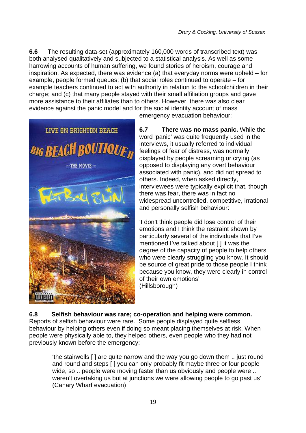**6.6** The resulting data-set (approximately 160,000 words of transcribed text) was both analysed qualitatively and subjected to a statistical analysis. As well as some harrowing accounts of human suffering, we found stories of heroism, courage and inspiration. As expected, there was evidence (a) that everyday norms were upheld – for example, people formed queues; (b) that social roles continued to operate – for example teachers continued to act with authority in relation to the schoolchildren in their charge; and (c) that many people stayed with their small affiliation groups and gave more assistance to their affiliates than to others. However, there was also clear evidence against the panic model and for the social identity account of mass



emergency evacuation behaviour:

**6.7 There was no mass panic.** While the word 'panic' was quite frequently used in the interviews, it usually referred to individual feelings of fear of distress, was normally displayed by people screaming or crying (as opposed to displaying any overt behaviour associated with panic), and did not spread to others. Indeed, when asked directly, interviewees were typically explicit that, though there was fear, there was in fact no widespread uncontrolled, competitive, irrational and personally selfish behaviour:

'I don't think people did lose control of their emotions and I think the restraint shown by particularly several of the individuals that I've mentioned I've talked about [ ] it was the degree of the capacity of people to help others who were clearly struggling you know. It should be source of great pride to those people I think because you know, they were clearly in control of their own emotions' (Hillsborough)

#### **6.8 Selfish behaviour was rare; co-operation and helping were common.**  Reports of selfish behaviour were rare. Some people displayed quite selfless behaviour by helping others even if doing so meant placing themselves at risk. When people were physically able to, they helped others, even people who they had not previously known before the emergency:

'the stairwells [ ] are quite narrow and the way you go down them .. just round and round and steps [ ] you can only probably fit maybe three or four people wide, so .. people were moving faster than us obviously and people were .. weren't overtaking us but at junctions we were allowing people to go past us' (Canary Wharf evacuation)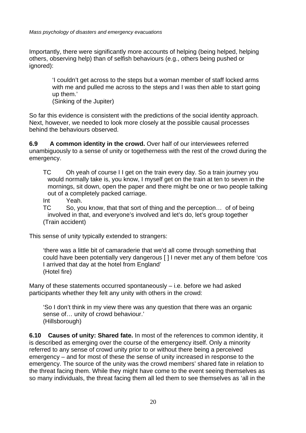Importantly, there were significantly more accounts of helping (being helped, helping others, observing help) than of selfish behaviours (e.g., others being pushed or ignored):

> 'I couldn't get across to the steps but a woman member of staff locked arms with me and pulled me across to the steps and I was then able to start going up them.'

(Sinking of the Jupiter)

So far this evidence is consistent with the predictions of the social identity approach. Next, however, we needed to look more closely at the possible causal processes behind the behaviours observed.

**6.9 A common identity in the crowd.** Over half of our interviewees referred unambiguously to a sense of unity or togetherness with the rest of the crowd during the emergency.

- TC Oh yeah of course I I get on the train every day. So a train journey you would normally take is, you know, I myself get on the train at ten to seven in the mornings, sit down, open the paper and there might be one or two people talking out of a completely packed carriage.
- Int Yeah.

TC So, you know, that that sort of thing and the perception... of of being involved in that, and everyone's involved and let's do, let's group together (Train accident)

This sense of unity typically extended to strangers:

'there was a little bit of camaraderie that we'd all come through something that could have been potentially very dangerous [ ] I never met any of them before 'cos I arrived that day at the hotel from England' (Hotel fire)

Many of these statements occurred spontaneously – i.e. before we had asked participants whether they felt any unity with others in the crowd:

'So I don't think in my view there was any question that there was an organic sense of… unity of crowd behaviour.' (Hillsborough)

**6.10 Causes of unity: Shared fate.** In most of the references to common identity, it is described as emerging over the course of the emergency itself. Only a minority referred to any sense of crowd unity prior to or without there being a perceived emergency – and for most of these the sense of unity increased in response to the emergency. The source of the unity was the crowd members' shared fate in relation to the threat facing them. While they might have come to the event seeing themselves as so many individuals, the threat facing them all led them to see themselves as 'all in the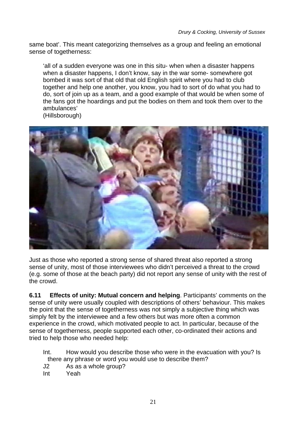same boat'. This meant categorizing themselves as a group and feeling an emotional sense of togetherness:

'all of a sudden everyone was one in this situ- when when a disaster happens when a disaster happens, I don't know, say in the war some- somewhere got bombed it was sort of that old that old English spirit where you had to club together and help one another, you know, you had to sort of do what you had to do, sort of join up as a team, and a good example of that would be when some of the fans got the hoardings and put the bodies on them and took them over to the ambulances'





Just as those who reported a strong sense of shared threat also reported a strong sense of unity, most of those interviewees who didn't perceived a threat to the crowd (e.g. some of those at the beach party) did not report any sense of unity with the rest of the crowd.

**6.11 Effects of unity: Mutual concern and helping**. Participants' comments on the sense of unity were usually coupled with descriptions of others' behaviour. This makes the point that the sense of togetherness was not simply a subjective thing which was simply felt by the interviewee and a few others but was more often a common experience in the crowd, which motivated people to act. In particular, because of the sense of togetherness, people supported each other, co-ordinated their actions and tried to help those who needed help:

- Int. How would you describe those who were in the evacuation with you? Is there any phrase or word you would use to describe them?
- J2 As as a whole group?
- Int Yeah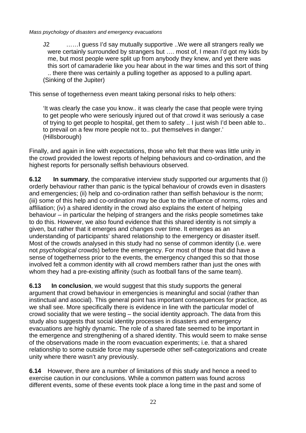J2 ……I guess I'd say mutually supportive ..We were all strangers really we were certainly surrounded by strangers but …. most of, I mean I'd got my kids by me, but most people were split up from anybody they knew, and yet there was this sort of camaraderie like you hear about in the war times and this sort of thing .. there there was certainly a pulling together as apposed to a pulling apart. (Sinking of the Jupiter)

This sense of togetherness even meant taking personal risks to help others:

'It was clearly the case you know.. it was clearly the case that people were trying to get people who were seriously injured out of that crowd it was seriously a case of trying to get people to hospital, get them to safety .. I just wish I'd been able to.. to prevail on a few more people not to.. put themselves in danger.' (Hillsborough)

Finally, and again in line with expectations, those who felt that there was little unity in the crowd provided the lowest reports of helping behaviours and co-ordination, and the highest reports for personally selfish behaviours observed.

**6.12 In summary**, the comparative interview study supported our arguments that (i) orderly behaviour rather than panic is the typical behaviour of crowds even in disasters and emergencies; (ii) help and co-ordination rather than selfish behaviour is the norm; (iii) some of this help and co-ordination may be due to the influence of norms, roles and affiliation; (iv) a shared identity in the crowd also explains the extent of helping behaviour – in particular the helping of strangers and the risks people sometimes take to do this. However, we also found evidence that this shared identity is not simply a given, but rather that it emerges and changes over time. It emerges as an understanding of participants' shared relationship to the emergency or disaster itself. Most of the crowds analysed in this study had no sense of common identity (i.e. were not *psychological* crowds) before the emergency. For most of those that did have a sense of togetherness prior to the events, the emergency changed this so that those involved felt a common identity with all crowd members rather than just the ones with whom they had a pre-existing affinity (such as football fans of the same team).

**6.13 In conclusion**, we would suggest that this study supports the general argument that crowd behaviour in emergencies is meaningful and social (rather than instinctual and asocial). This general point has important consequences for practice, as we shall see. More specifically there is evidence in line with the particular model of crowd sociality that we were testing – the social identity approach. The data from this study also suggests that social identity processes in disasters and emergency evacuations are highly dynamic. The role of a shared fate seemed to be important in the emergence and strengthening of a shared identity. This would seem to make sense of the observations made in the room evacuation experiments; i.e. that a shared relationship to some outside force may supersede other self-categorizations and create unity where there wasn't any previously.

**6.14** However, there are a number of limitations of this study and hence a need to exercise caution in our conclusions. While a common pattern was found across different events, some of these events took place a long time in the past and some of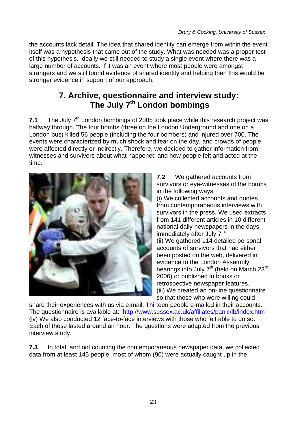the accounts lack detail. The idea that shared identity can emerge from within the event itself was a hypothesis that came out of the study. What was needed was a proper test of this hypothesis. Ideally we still needed to study a single event where there was a large number of accounts. If it was an event where most people were amongst strangers and we still found evidence of shared identity and helping then this would be stronger evidence in support of our approach.

# **7. Archive, questionnaire and interview study: The July 7th London bombings**

**7.1** The July 7<sup>th</sup> London bombings of 2005 took place while this research project was halfway through. The four bombs (three on the London Underground and one on a London bus) killed 56 people (including the four bombers) and injured over 700. The events were characterized by much shock and fear on the day, and crowds of people were affected directly or indirectly. Therefore, we decided to gather information from witnesses and survivors about what happened and how people felt and acted at the time.



**7.2** We gathered accounts from survivors or eye-witnesses of the bombs in the following ways:

(i) We collected accounts and quotes from contemporaneous interviews with survivors in the press. We used extracts from 141 different articles in 10 different national daily newspapers in the days immediately after July 7<sup>th.</sup> (ii) We gathered 114 detailed personal accounts of survivors that had either been posted on the web, delivered in evidence to the London Assembly hearings into July 7<sup>th</sup> (held on March 23<sup>rd</sup> 2006) or published in books or retrospective newspaper features. (iii) We created an on-line questionnaire so that those who were willing could

share their experiences with us via e-mail. Thirteen people e-mailed in their accounts. The questionnaire is available at: <http://www.sussex.ac.uk/affiliates/panic/lb/index.htm> (iv) We also conducted 12 face-to-face interviews with those who felt able to do so. Each of these lasted around an hour. The questions were adapted from the previous interview study.

**7.3** In total, and not counting the contemporaneous newspaper data, we collected data from at least 145 people, most of whom (90) were actually caught up in the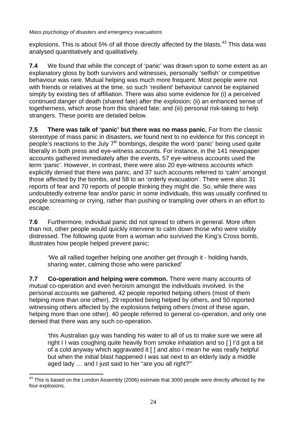explosions. This is about 5% of all those directly affected by the blasts. $43$  This data was analysed quantitatively and qualitatively.

**7.4** We found that while the concept of 'panic' was drawn upon to some extent as an explanatory gloss by both survivors and witnesses, personally 'selfish' or competitive behaviour was rare. Mutual helping was much more frequent. Most people were not with friends or relatives at the time, so such 'resilient' behaviour cannot be explained simply by existing ties of affiliation. There was also some evidence for (i) a perceived continued danger of death (shared fate) after the explosion; (ii) an enhanced sense of togetherness, which arose from this shared fate; and (iii) personal risk-taking to help strangers. These points are detailed below.

**7.5 There was talk of 'panic' but there was no mass panic.** Far from the classic stereotype of mass panic in disasters, we found next to no evidence for this concept in people's reactions to the July 7<sup>th</sup> bombings, despite the word 'panic' being used quite liberally in both press and eye-witness accounts. For instance, in the 141 newspaper accounts gathered immediately after the events, 57 eye-witness accounts used the term 'panic'. However, in contrast, there were also 20 eye-witness accounts which explicitly denied that there was panic, and 37 such accounts referred to 'calm' amongst those affected by the bombs, and 58 to an 'orderly evacuation'. There were also 31 reports of fear and 70 reports of people thinking they might die. So, while there was undoubtedly extreme fear and/or panic in some individuals, this was usually confined to people screaming or crying, rather than pushing or trampling over others in an effort to escape.

**7.6** Furthermore, individual panic did not spread to others in general. More often than not, other people would quickly intervene to calm down those who were visibly distressed. The following quote from a woman who survived the King's Cross bomb, illustrates how people helped prevent panic;

'We all rallied together helping one another get through it - holding hands, sharing water, calming those who were panicked'

**7.7 Co-operation and helping were common.** There were many accounts of mutual co-operation and even heroism amongst the individuals involved. In the personal accounts we gathered, 42 people reported helping others (most of them helping more than one other), 29 reported being helped by others, and 50 reported witnessing others affected by the explosions helping others (most of these again, helping more than one other). 40 people referred to general co-operation, and only one denied that there was any such co-operation.

'this Australian guy was handing his water to all of us to make sure we were all right I I was coughing quite heavily from smoke inhalation and so [ ] I'd got a bit of a cold anyway which aggravated it [ ] and also I mean he was really helpful but when the initial blast happened I was sat next to an elderly lady a middle aged lady … and I just said to her "are you all right?"'

<span id="page-23-0"></span> $\overline{a}$  $^{43}$  This is based on the London Assembly (2006) estimate that 3000 people were directly affected by the four explosions.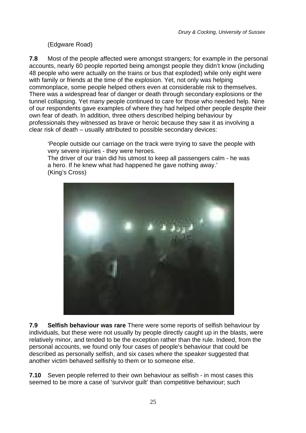### (Edgware Road)

**7.8** Most of the people affected were amongst strangers; for example in the personal accounts, nearly 60 people reported being amongst people they didn't know (including 48 people who were actually on the trains or bus that exploded) while only eight were with family or friends at the time of the explosion. Yet, not only was helping commonplace, some people helped others even at considerable risk to themselves. There was a widespread fear of danger or death through secondary explosions or the tunnel collapsing. Yet many people continued to care for those who needed help. Nine of our respondents gave examples of where they had helped other people despite their own fear of death. In addition, three others described helping behaviour by professionals they witnessed as brave or heroic because they saw it as involving a clear risk of death – usually attributed to possible secondary devices:

'People outside our carriage on the track were trying to save the people with very severe injuries - they were heroes.

The driver of our train did his utmost to keep all passengers calm - he was a hero. If he knew what had happened he gave nothing away.' (King's Cross)



**7.9 Selfish behaviour was rare** There were some reports of selfish behaviour by individuals, but these were not usually by people directly caught up in the blasts, were relatively minor, and tended to be the exception rather than the rule. Indeed, from the personal accounts, we found only four cases of people's behaviour that could be described as personally selfish, and six cases where the speaker suggested that another victim behaved selfishly to them or to someone else.

**7.10** Seven people referred to their own behaviour as selfish - in most cases this seemed to be more a case of 'survivor guilt' than competitive behaviour; such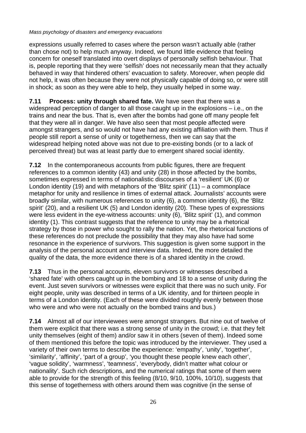expressions usually referred to cases where the person wasn't actually able (rather than chose not) to help much anyway. Indeed, we found little evidence that feeling concern for oneself translated into overt displays of personally selfish behaviour. That is, people reporting that they were 'selfish' does not necessarily mean that they actually behaved in way that hindered others' evacuation to safety. Moreover, when people did not help, it was often because they were not physically capable of doing so, or were still in shock; as soon as they were able to help, they usually helped in some way.

**7.11 Process: unity through shared fate.** We have seen that there was a widespread perception of danger to all those caught up in the explosions – i.e., on the trains and near the bus. That is, even after the bombs had gone off many people felt that they were all in danger. We have also seen that most people affected were amongst strangers, and so would not have had any existing affiliation with them. Thus if people still report a sense of unity or togetherness, then we can say that the widespread helping noted above was not due to pre-existing bonds (or to a lack of perceived threat) but was at least partly due to emergent shared social identity.

**7.12** In the contemporaneous accounts from public figures, there are frequent references to a common identity (43) and unity (28) in those affected by the bombs, sometimes expressed in terms of nationalistic discourses of a 'resilient' UK (6) or London identity (19) and with metaphors of the 'Blitz spirit'  $(11)$  – a commonplace metaphor for unity and resilience in times of external attack. Journalists' accounts were broadly similar, with numerous references to unity (6), a common identity (6), the 'Blitz spirit' (20), and a resilient UK (5) and London identity (20). These types of expressions were less evident in the eye-witness accounts: unity (6), 'Blitz spirit' (1), and common identity (1). This contrast suggests that the reference to unity may be a rhetorical strategy by those in power who sought to rally the nation. Yet, the rhetorical functions of these references do not preclude the possibility that they may also have had some resonance in the experience of survivors. This suggestion is given some support in the analysis of the personal account and interview data. Indeed, the more detailed the quality of the data, the more evidence there is of a shared identity in the crowd.

**7.13** Thus in the personal accounts, eleven survivors or witnesses described a 'shared fate' with others caught up in the bombing and 18 to a sense of unity during the event. Just seven survivors or witnesses were explicit that there was no such unity. For eight people, unity was described in terms of a UK identity, and for thirteen people in terms of a London identity. (Each of these were divided roughly evenly between those who were and who were not actually on the bombed trains and bus.)

**7.14** Almost all of our interviewees were amongst strangers. But nine out of twelve of them were explicit that there was a strong sense of unity in the crowd; i.e. that they felt unity themselves (eight of them) and/or saw it in others (seven of them). Indeed some of them mentioned this before the topic was introduced by the interviewer. They used a variety of their own terms to describe the experience: 'empathy', 'unity', 'together', 'similarity', 'affinity', 'part of a group', 'you thought these people knew each other', 'vague solidity', 'warmness', 'teamness', 'everybody, didn't matter what colour or nationality'. Such rich descriptions, and the numerical ratings that some of them were able to provide for the strength of this feeling (8/10, 9/10, 100%, 10/10), suggests that this sense of togetherness with others around them was cognitive (in the sense of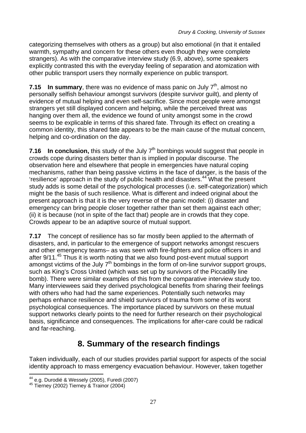categorizing themselves with others as a group) but also emotional (in that it entailed warmth, sympathy and concern for these others even though they were complete strangers). As with the comparative interview study (6.9, above), some speakers explicitly contrasted this with the everyday feeling of separation and atomization with other public transport users they normally experience on public transport.

**7.15 In summary**, there was no evidence of mass panic on July 7<sup>th</sup>, almost no personally selfish behaviour amongst survivors (despite survivor guilt), and plenty of evidence of mutual helping and even self-sacrifice. Since most people were amongst strangers yet still displayed concern and helping, while the perceived threat was hanging over them all, the evidence we found of unity amongst some in the crowd seems to be explicable in terms of this shared fate. Through its effect on creating a common identity, this shared fate appears to be the main cause of the mutual concern, helping and co-ordination on the day.

**7.16 In conclusion, this study of the July 7<sup>th</sup> bombings would suggest that people in** crowds cope during disasters better than is implied in popular discourse. The observation here and elsewhere that people in emergencies have natural coping mechanisms, rather than being passive victims in the face of danger, is the basis of the 'resilience' approach in the study of public health and disasters.[44](#page-26-0) What the present study adds is some detail of the psychological processes (i.e. self-categorization) which might be the basis of such resilience. What is different and indeed original about the present approach is that it is the very reverse of the panic model: (i) disaster and emergency can bring people closer together rather than set them against each other; (ii) it is because (not in spite of the fact that) people are in crowds that they cope. Crowds appear to be an adaptive source of mutual support.

**7.17** The concept of resilience has so far mostly been applied to the aftermath of disasters, and, in particular to the emergence of support networks amongst rescuers and other emergency teams– as was seen with fire-fighters and police officers in and after 9/11.[45](#page-26-1) Thus it is worth noting that we also found post-event mutual support amongst victims of the July  $7<sup>th</sup>$  bombings in the form of on-line survivor support groups, such as King's Cross United (which was set up by survivors of the Piccadilly line bomb). There were similar examples of this from the comparative interview study too. Many interviewees said they derived psychological benefits from sharing their feelings with others who had had the same experiences. Potentially such networks may perhaps enhance resilience and shield survivors of trauma from some of its worst psychological consequences. The importance placed by survivors on these mutual support networks clearly points to the need for further research on their psychological basis, significance and consequences. The implications for after-care could be radical and far-reaching.

## **8. Summary of the research findings**

Taken individually, each of our studies provides partial support for aspects of the social identity approach to mass emergency evacuation behaviour. However, taken together

 $\overline{a}$ <sup>44</sup> e.g. Durodié & Wessely (2005), Furedi (2007)<br><sup>45</sup> Tierney (2002) Tierney & Trainor (2004)

<span id="page-26-1"></span><span id="page-26-0"></span>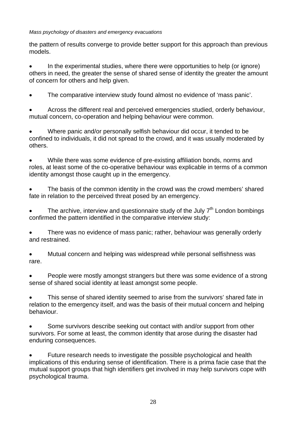the pattern of results converge to provide better support for this approach than previous models.

• In the experimental studies, where there were opportunities to help (or ignore) others in need, the greater the sense of shared sense of identity the greater the amount of concern for others and help given.

• The comparative interview study found almost no evidence of 'mass panic'.

• Across the different real and perceived emergencies studied, orderly behaviour, mutual concern, co-operation and helping behaviour were common.

• Where panic and/or personally selfish behaviour did occur, it tended to be confined to individuals, it did not spread to the crowd, and it was usually moderated by others.

• While there was some evidence of pre-existing affiliation bonds, norms and roles, at least some of the co-operative behaviour was explicable in terms of a common identity amongst those caught up in the emergency.

The basis of the common identity in the crowd was the crowd members' shared fate in relation to the perceived threat posed by an emergency.

The archive, interview and questionnaire study of the July  $7<sup>th</sup>$  London bombings confirmed the pattern identified in the comparative interview study:

• There was no evidence of mass panic; rather, behaviour was generally orderly and restrained.

• Mutual concern and helping was widespread while personal selfishness was rare.

• People were mostly amongst strangers but there was some evidence of a strong sense of shared social identity at least amongst some people.

This sense of shared identity seemed to arise from the survivors' shared fate in relation to the emergency itself, and was the basis of their mutual concern and helping behaviour.

Some survivors describe seeking out contact with and/or support from other survivors. For some at least, the common identity that arose during the disaster had enduring consequences.

• Future research needs to investigate the possible psychological and health implications of this enduring sense of identification. There is a prima facie case that the mutual support groups that high identifiers get involved in may help survivors cope with psychological trauma.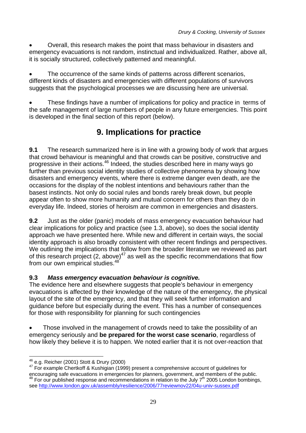• Overall, this research makes the point that mass behaviour in disasters and emergency evacuations is not random, instinctual and individualized. Rather, above all, it is socially structured, collectively patterned and meaningful.

• The occurrence of the same kinds of patterns across different scenarios, different kinds of disasters and emergencies with different populations of survivors suggests that the psychological processes we are discussing here are universal.

• These findings have a number of implications for policy and practice in terms of the safe management of large numbers of people in any future emergencies. This point is developed in the final section of this report (below).

# **9. Implications for practice**

**9.1** The research summarized here is in line with a growing body of work that argues that crowd behaviour is meaningful and that crowds can be positive, constructive and progressive in their actions.<sup>46</sup> Indeed, the studies described here in many ways go further than previous social identity studies of collective phenomena by showing how disasters and emergency events, where there is extreme danger even death, are the occasions for the display of the noblest intentions and behaviours rather than the basest instincts. Not only do social rules and bonds rarely break down, but people appear often to show more humanity and mutual concern for others than they do in everyday life. Indeed, stories of heroism are common in emergencies and disasters.

**9.2** Just as the older (panic) models of mass emergency evacuation behaviour had clear implications for policy and practice (see 1.3, above), so does the social identity approach we have presented here. While new and different in certain ways, the social identity approach is also broadly consistent with other recent findings and perspectives. We outlining the implications that follow from the broader literature we reviewed as part of this research project (2, above) $47$  as well as the specific recommendations that flow from our own empirical studies. $48^{12}$  $48^{12}$ 

### **9.3** *Mass emergency evacuation behaviour is cognitive.*

The evidence here and elsewhere suggests that people's behaviour in emergency evacuations is affected by their knowledge of the nature of the emergency, the physical layout of the site of the emergency, and that they will seek further information and guidance before but especially during the event. This has a number of consequences for those with responsibility for planning for such contingencies

• Those involved in the management of crowds need to take the possibility of an emergency seriously and **be prepared for the worst case scenario**, regardless of how likely they believe it is to happen. We noted earlier that it is not over-reaction that

<span id="page-28-2"></span><span id="page-28-1"></span><sup>47</sup> For example Chertkoff & Kushigian (1999) present a comprehensive account of guidelines for encouraging safe evacuations in emergencies for planners, government, and members of the public.<br><sup>48</sup> For our published response and recommendations in relation to the July 7<sup>th</sup> 2005 London bombings, see <http://www.london.gov.uk/assembly/resilience/2006/77reviewnov22/04u-univ-sussex.pdf>

<span id="page-28-0"></span> $46$  e.g. Reicher (2001) Stott & Drury (2000)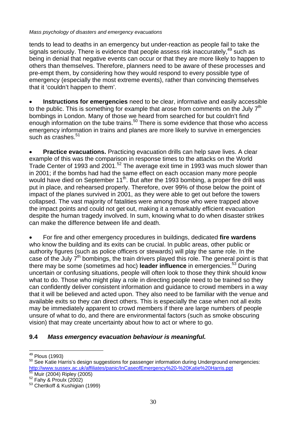tends to lead to deaths in an emergency but under-reaction as people fail to take the signals seriously. There is evidence that people assess risk inaccurately,<sup>49</sup> such as being in denial that negative events can occur or that they are more likely to happen to others than themselves. Therefore, planners need to be aware of these processes and pre-empt them, by considering how they would respond to every possible type of emergency (especially the most extreme events), rather than convincing themselves that it 'couldn't happen to them'.

• **Instructions for emergencies** need to be clear, informative and easily accessible to the public. This is something for example that arose from comments on the July  $7<sup>th</sup>$ bombings in London. Many of those we heard from searched for but couldn't find enough information on the tube trains.<sup>50</sup> There is some evidence that those who access emergency information in trains and planes are more likely to survive in emergencies such as crashes. $51$ 

**Practice evacuations.** Practicing evacuation drills can help save lives. A clear example of this was the comparison in response times to the attacks on the World Trade Center of 1993 and 2001.[52](#page-29-3) The average exit time in 1993 was much slower than in 2001; if the bombs had had the same effect on each occasion many more people would have died on September 11<sup>th</sup>. But after the 1993 bombing, a proper fire drill was put in place, and rehearsed properly. Therefore, over 99% of those below the point of impact of the planes survived in 2001, as they were able to get out before the towers collapsed. The vast majority of fatalities were among those who were trapped above the impact points and could not get out, making it a remarkably efficient evacuation despite the human tragedy involved. In sum, knowing what to do when disaster strikes can make the difference between life and death.

• For fire and other emergency procedures in buildings, dedicated **fire wardens** who know the building and its exits can be crucial. In public areas, other public or authority figures (such as police officers or stewards) will play the same role. In the case of the July 7<sup>th</sup> bombings, the train drivers played this role. The general point is that there may be some (sometimes ad hoc) **leader influence** in emergencies.[53](#page-29-4) During uncertain or confusing situations, people will often look to those they think should know what to do. Those who might play a role in directing people need to be trained so they can confidently deliver consistent information and guidance to crowd members in a way that it will be believed and acted upon. They also need to be familiar with the venue and available exits so they can direct others. This is especially the case when not all exits may be immediately apparent to crowd members if there are large numbers of people unsure of what to do, and there are environmental factors (such as smoke obscuring vision) that may create uncertainty about how to act or where to go.

### **9.4** *Mass emergency evacuation behaviour is meaningful.*

<span id="page-29-0"></span><sup>&</sup>lt;sup>49</sup> Plous (1993)

<span id="page-29-1"></span><sup>50</sup> See Katie Harris's design suggestions for passenger information during Underground emergencies: [http://www.sussex.ac.uk/affiliates/panic/InCaseofEmergency%20-%20Katie%20Harris.ppt](http://www.sussex.ac.uk/affiliates/panic/InCaseofEmergency - Katie Harris.ppt)<br><sup>51</sup> Muir (2004) Ripley (2005)<br><sup>52</sup> Fahy & Proulx (2002)<br><sup>53</sup> Chertkoff & Kushigian (1999)

<span id="page-29-2"></span>

<span id="page-29-3"></span>

<span id="page-29-4"></span>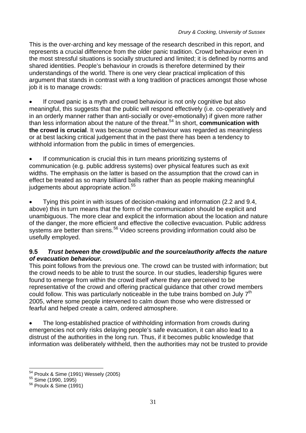This is the over-arching and key message of the research described in this report, and represents a crucial difference from the older panic tradition. Crowd behaviour even in the most stressful situations is socially structured and limited; it is defined by norms and shared identities. People's behaviour in crowds is therefore determined by their understandings of the world. There is one very clear practical implication of this argument that stands in contrast with a long tradition of practices amongst those whose job it is to manage crowds:

If crowd panic is a myth and crowd behaviour is not only cognitive but also meaningful, this suggests that the public will respond effectively (i.e. co-operatively and in an orderly manner rather than anti-socially or over-emotionally) if given more rather than less information about the nature of the threat.[54](#page-30-0) In short, **communication with the crowd is crucial**. It was because crowd behaviour was regarded as meaningless or at best lacking critical judgement that in the past there has been a tendency to withhold information from the public in times of emergencies.

If communication is crucial this in turn means prioritizing systems of communication (e.g. public address systems) over physical features such as exit widths. The emphasis on the latter is based on the assumption that the crowd can in effect be treated as so many billiard balls rather than as people making meaningful judgements about appropriate action.<sup>[55](#page-30-1)</sup>

• Tying this point in with issues of decision-making and information (2.2 and 9.4, above) this in turn means that the form of the communication should be explicit and unambiguous. The more clear and explicit the information about the location and nature of the danger, the more efficient and effective the collective evacuation. Public address systems are better than sirens.<sup>56</sup> Video screens providing information could also be usefully employed.

#### **9.5** *Trust between the crowd/public and the source/authority affects the nature of evacuation behaviour.*

This point follows from the previous one. The crowd can be trusted with information; but the crowd needs to be able to trust the source. In our studies, leadership figures were found to emerge from within the crowd itself where they are perceived to be representative of the crowd and offering practical guidance that other crowd members could follow. This was particularly noticeable in the tube trains bombed on July  $7<sup>th</sup>$ 2005, where some people intervened to calm down those who were distressed or fearful and helped create a calm, ordered atmosphere.

• The long-established practice of withholding information from crowds during emergencies not only risks delaying people's safe evacuation, it can also lead to a distrust of the authorities in the long run. Thus, if it becomes public knowledge that information was deliberately withheld, then the authorities may not be trusted to provide

 $\overline{a}$ 

<span id="page-30-0"></span><sup>&</sup>lt;sup>54</sup> Proulx & Sime (1991) Wessely (2005)<br><sup>55</sup> Sime (1990, 1995)<br><sup>56</sup> Proulx & Sime (1991)

<span id="page-30-1"></span>

<span id="page-30-2"></span>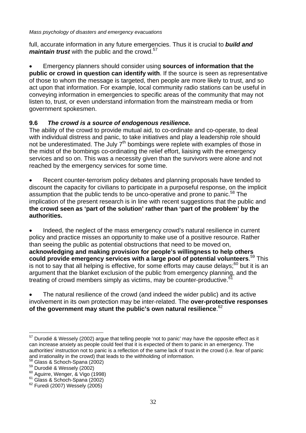full, accurate information in any future emergencies. Thus it is crucial to *build and maintain trust* with the public and the crowd.<sup>57</sup>

• Emergency planners should consider using **sources of information that the public or crowd in question can identify with**. If the source is seen as representative of those to whom the message is targeted, then people are more likely to trust, and so act upon that information. For example, local community radio stations can be useful in conveying information in emergencies to specific areas of the community that may not listen to, trust, or even understand information from the mainstream media or from government spokesmen.

### **9.6** *The crowd is a source of endogenous resilience.*

The ability of the crowd to provide mutual aid, to co-ordinate and co-operate, to deal with individual distress and panic, to take initiatives and play a leadership role should not be underestimated. The July  $7<sup>th</sup>$  bombings were replete with examples of those in the midst of the bombings co-ordinating the relief effort, liaising with the emergency services and so on. This was a necessity given than the survivors were alone and not reached by the emergency services for some time.

• Recent counter-terrorism policy debates and planning proposals have tended to discount the capacity for civilians to participate in a purposeful response, on the implicit assumption that the public tends to be unco-operative and prone to panic.<sup>58</sup> The implication of the present research is in line with recent suggestions that the public and **the crowd seen as 'part of the solution' rather than 'part of the problem' by the authorities.**

Indeed, the neglect of the mass emergency crowd's natural resilience in current policy and practice misses an opportunity to make use of a positive resource. Rather than seeing the public as potential obstructions that need to be moved on, **acknowledging and making provision for people's willingness to help others could provide emergency services with a large pool of potential volunteers**. [59 T](#page-31-2)his is not to say that all helping is effective, for some efforts may cause delays; $60$  but it is an argument that the blanket exclusion of the public from emergency planning, and the treating of crowd members simply as victims, may be counter-productive.<sup>61</sup>

The natural resilience of the crowd (and indeed the wider public) and its active involvement in its own protection may be inter-related. The **over-protective responses of the government may stunt the public's own natural resilience**. [62](#page-31-5) 

 $\overline{a}$ 

<span id="page-31-0"></span> $57$  Durodié & Wessely (2002) argue that telling people 'not to panic' may have the opposite effect as it can increase anxiety as people could feel that it is expected of them to panic in an emergency. The authorities' instruction not to panic is a reflection of the same lack of trust in the crowd (i.e. fear of panic and irrationality in the crowd) that leads to the withholding of information.<br><sup>58</sup> Glass & Schoch-Spana (2002)<br><sup>59</sup> Durodié & Wessely (2002)<br><sup>60</sup> Aguirre, Wenger, & Vigo (1998)<br><sup>61</sup> Glass & Schoch-Spana (2002)<br><sup>62</sup> Furedi

<span id="page-31-1"></span>

<span id="page-31-2"></span>

<span id="page-31-3"></span>

<span id="page-31-4"></span>

<span id="page-31-5"></span>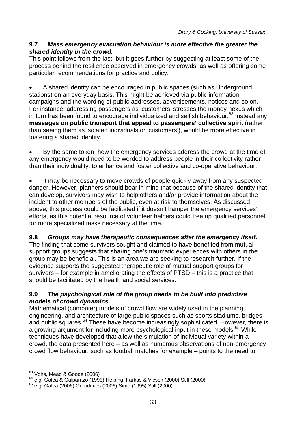### **9.7** *Mass emergency evacuation behaviour is more effective the greater the shared identity in the crowd.*

This point follows from the last; but it goes further by suggesting at least some of the process behind the resilience observed in emergency crowds, as well as offering some particular recommendations for practice and policy.

• A shared identity can be encouraged in public spaces (such as Underground stations) on an everyday basis. This might be achieved via public information campaigns and the wording of public addresses, advertisements, notices and so on. For instance, addressing passengers as 'customers' stresses the money nexus which in turn has been found to encourage individualized and selfish behaviour. $63$  Instead any **messages on public transport that appeal to passengers' collective spirit** (rather than seeing them as isolated individuals or 'customers'), would be more effective in fostering a shared identity.

• By the same token, how the emergency services address the crowd at the time of any emergency would need to be worded to address people in their collectivity rather than their individuality, to enhance and foster collective and co-operative behaviour.

It may be necessary to move crowds of people quickly away from any suspected danger. However, planners should bear in mind that because of the shared identity that can develop, survivors may wish to help others and/or provide information about the incident to other members of the public, even at risk to themselves. As discussed above, this process could be facilitated if it doesn't hamper the emergency services' efforts, as this potential resource of volunteer helpers could free up qualified personnel for more specialized tasks necessary at the time.

### **9.8** *Groups may have therapeutic consequences after the emergency itself.*

The finding that some survivors sought and claimed to have benefited from mutual support groups suggests that sharing one's traumatic experiences with others in the group may be beneficial. This is an area we are seeking to research further. If the evidence supports the suggested therapeutic role of mutual support groups for survivors – for example in ameliorating the effects of PTSD – this is a practice that should be facilitated by the health and social services.

#### **9.9** *The psychological role of the group needs to be built into predictive models of crowd dynamics.*

Mathematical (computer) models of crowd flow are widely used in the planning engineering, and architecture of large public spaces such as sports stadiums, bridges and public squares.<sup>64</sup> These have become increasingly sophisticated. However, there is a growing argument for including more psychological input in these models.<sup>65</sup> While techniques have developed that allow the simulation of individual variety within a crowd, the data presented here – as well as numerous observations of non-emergency crowd flow behaviour, such as football matches for example – points to the need to

<span id="page-32-0"></span><sup>63</sup> Vohs, Mead & Goode (2006)

<span id="page-32-1"></span> $^{64}$  e.g. Galea & Galparazo (1993) Helbing, Farkas & Vicsek (2000) Still (2000)<br> $^{65}$  e.g. Galea (2006) Gerodimos (2006) Sime (1995) Still (2000)

<span id="page-32-2"></span>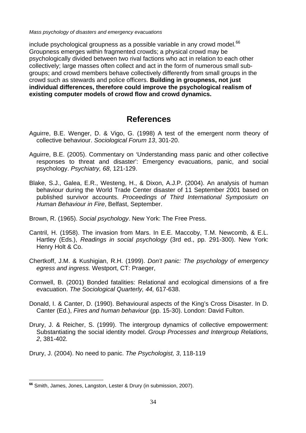include psychological groupness as a possible variable in any crowd model.<sup>[66](#page-33-0)</sup> Groupness emerges within fragmented crowds; a physical crowd may be psychologically divided between two rival factions who act in relation to each other collectively; large masses often collect and act in the form of numerous small subgroups; and crowd members behave collectively differently from small groups in the crowd such as stewards and police officers. **Building in groupness, not just individual differences, therefore could improve the psychological realism of existing computer models of crowd flow and crowd dynamics.**

### **References**

- Aguirre, B.E. Wenger, D. & Vigo, G. (1998) A test of the emergent norm theory of collective behaviour. *Sociological Forum 13*, 301-20.
- Aguirre, B.E. (2005). Commentary on 'Understanding mass panic and other collective responses to threat and disaster': Emergency evacuations, panic, and social psychology. *Psychiatry, 68*, 121-129.
- Blake, S.J., Galea, E.R., Westeng, H., & Dixon, A.J.P. (2004). An analysis of human behaviour during the World Trade Center disaster of 11 September 2001 based on published survivor accounts. *Proceedings of Third International Symposium on Human Behaviour in Fire*, Belfast, September.

Brown, R. (1965). *Social psychology*. New York: The Free Press.

- Cantril, H. (1958). The invasion from Mars. In E.E. Maccoby, T.M. Newcomb, & E.L. Hartley (Eds.), *Readings in social psychology* (3rd ed., pp. 291-300). New York: Henry Holt & Co.
- Chertkoff, J.M. & Kushigian, R.H. (1999). *Don't panic: The psychology of emergency egress and ingress.* Westport, CT: Praeger,
- Cornwell, B. (2001) Bonded fatalities: Relational and ecological dimensions of a fire evacuation. *The Sociological Quarterly, 44,* 617-638.
- Donald, I. & Canter, D. (1990). Behavioural aspects of the King's Cross Disaster. In D. Canter (Ed.), *Fires and human behaviour* (pp. 15-30). London: David Fulton.
- Drury, J. & Reicher, S. (1999). The intergroup dynamics of collective empowerment: Substantiating the social identity model. *Group Processes and Intergroup Relations, 2*, 381-402*.*
- Drury, J. (2004). No need to panic. *The Psychologist, 3*, 118-119

<span id="page-33-0"></span> $\overline{a}$ **<sup>66</sup>** Smith, James, Jones, Langston, Lester & Drury (in submission, 2007).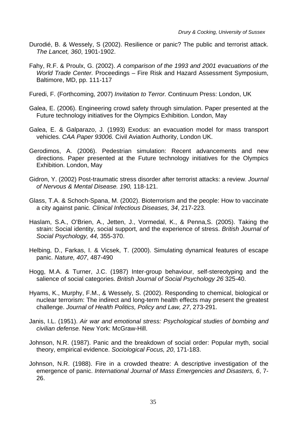- Durodié, B. & Wessely, S (2002). Resilience or panic? The public and terrorist attack. *The Lancet, 360*, 1901-1902.
- Fahy, R.F. & Proulx, G. (2002). *A comparison of the 1993 and 2001 evacuations of the World Trade Center.* Proceedings – Fire Risk and Hazard Assessment Symposium, Baltimore, MD, pp. 111-117
- Furedi, F. (Forthcoming, 2007) *Invitation to Terror.* Continuum Press: London, UK
- Galea, E. (2006). Engineering crowd safety through simulation. Paper presented at the Future technology initiatives for the Olympics Exhibition. London, May
- Galea, E. & Galparazo, J. (1993) Exodus: an evacuation model for mass transport vehicles. *CAA Paper 93006.* Civil Aviation Authority, London UK.
- Gerodimos, A. (2006). Pedestrian simulation: Recent advancements and new directions. Paper presented at the Future technology initiatives for the Olympics Exhibition. London, May
- Gidron, Y. (2002) Post-traumatic stress disorder after terrorist attacks: a review. *Journal of Nervous & Mental Disease. 190,* 118-121.
- Glass, T.A. & Schoch-Spana, M. (2002). Bioterrorism and the people: How to vaccinate a city against panic. *Clinical Infectious Diseases, 34*, 217-223.
- Haslam, S.A., O'Brien, A., Jetten, J., Vormedal, K., & Penna,S. (2005). Taking the strain: Social identity, social support, and the experience of stress. *British Journal of Social Psychology, 44,* 355-370.
- Helbing, D., Farkas, I. & Vicsek, T. (2000). Simulating dynamical features of escape panic. *Nature, 407*, 487-490
- Hogg, M.A. & Turner, J.C. (1987) Inter-group behaviour, self-stereotyping and the salience of social categories. *British Journal of Social Psychology 26* 325-40.
- Hyams, K., Murphy, F.M., & Wessely, S. (2002). Responding to chemical, biological or nuclear terrorism: The indirect and long-term health effects may present the greatest challenge. *Journal of Health Politics, Policy and Law, 27*, 273-291.
- Janis, I.L. (1951). *Air war and emotional stress: Psychological studies of bombing and civilian defense.* New York: McGraw-Hill.
- Johnson, N.R. (1987). Panic and the breakdown of social order: Popular myth, social theory, empirical evidence. *Sociological Focus, 20*, 171-183.
- Johnson, N.R. (1988). Fire in a crowded theatre: A descriptive investigation of the emergence of panic. *International Journal of Mass Emergencies and Disasters, 6*, 7- 26.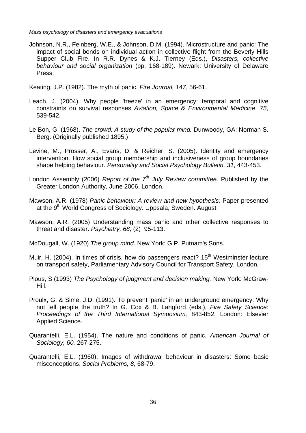Johnson, N.R., Feinberg, W.E., & Johnson, D.M. (1994). Microstructure and panic: The impact of social bonds on individual action in collective flight from the Beverly Hills Supper Club Fire. In R.R. Dynes & K.J. Tierney (Eds.), *Disasters, collective behaviour and social organization* (pp. 168-189). Newark: University of Delaware Press.

Keating, J.P. (1982). The myth of panic. *Fire Journal, 147*, 56-61.

- Leach, J. (2004). Why people 'freeze' in an emergency: temporal and cognitive constraints on survival responses *Aviation, Space & Environmental Medicine*, *75*, 539-542.
- Le Bon, G. (1968). *The crowd: A study of the popular mind.* Dunwoody, GA: Norman S. Berg. (Originally published 1895.)
- Levine, M., Prosser, A., Evans, D. & Reicher, S. (2005). Identity and emergency intervention. How social group membership and inclusiveness of group boundaries shape helping behaviour. *Personality and Social Psychology Bulletin, 31*, 443-453.
- London Assembly (2006) *Report of the 7th July Review committee.* Published by the Greater London Authority, June 2006, London.
- Mawson, A.R. (1978) *Panic behaviour: A review and new hypothesis:* Paper presented at the 9<sup>th</sup> World Congress of Sociology. Uppsala, Sweden. August.
- Mawson, A.R. (2005) Understanding mass panic and other collective responses to threat and disaster. *Psychiatry, 68,* (2) 95-113.
- McDougall, W. (1920) *The group mind.* New York: G.P. Putnam's Sons.
- Muir, H. (2004). In times of crisis, how do passengers react? 15<sup>th</sup> Westminster lecture on transport safety, Parliamentary Advisory Council for Transport Safety, London.
- Plous, S (1993) *The Psychology of judgment and decision making.* New York: McGraw-Hill.
- Proulx, G. & Sime, J.D. (1991). To prevent 'panic' in an underground emergency: Why not tell people the truth? In G. Cox & B. Langford (eds.), *Fire Safety Science: Proceedings of the Third International Symposium,* 843-852, London: Elsevier Applied Science.
- Quarantelli, E.L. (1954). The nature and conditions of panic. *American Journal of Sociology, 60,* 267-275.
- Quarantelli, E.L. (1960). Images of withdrawal behaviour in disasters: Some basic misconceptions. *Social Problems, 8*, 68-79.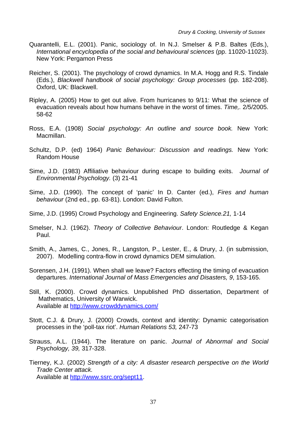- Quarantelli, E.L. (2001). Panic, sociology of. In N.J. Smelser & P.B. Baltes (Eds.), *International encyclopedia of the social and behavioural sciences* (pp. 11020-11023). New York: Pergamon Press
- Reicher, S. (2001). The psychology of crowd dynamics. In M.A. Hogg and R.S. Tindale (Eds.), *Blackwell handbook of social psychology: Group processes* (pp. 182-208). Oxford, UK: Blackwell.
- Ripley, A. (2005) How to get out alive. From hurricanes to 9/11: What the science of evacuation reveals about how humans behave in the worst of times. *Time,.* 2/5/2005. 58-62
- Ross, E.A. (1908) *Social psychology: An outline and source book.* New York: Macmillan.
- Schultz, D.P. (ed) 1964) *Panic Behaviour: Discussion and readings.* New York: Random House
- Sime, J.D. (1983) Affiliative behaviour during escape to building exits. *Journal of Environmental Psychology.* (3) 21-41
- Sime, J.D. (1990). The concept of 'panic' In D. Canter (ed.), *Fires and human behaviour* (2nd ed., pp. 63-81). London: David Fulton.
- Sime, J.D. (1995) Crowd Psychology and Engineering. *Safety Science.21,* 1-14
- Smelser, N.J. (1962). *Theory of Collective Behaviour*. London: Routledge & Kegan Paul.
- Smith, A., James, C., Jones, R., Langston, P., Lester, E., & Drury, J. (in submission, 2007). Modelling contra-flow in crowd dynamics DEM simulation.
- Sorensen, J.H. (1991). When shall we leave? Factors effecting the timing of evacuation departures. *International Journal of Mass Emergencies and Disasters, 9*, 153-165.
- Still, K. (2000). Crowd dynamics. Unpublished PhD dissertation, Department of Mathematics, University of Warwick. Available at<http://www.crowddynamics.com/>
- Stott, C.J. & Drury, J. (2000) Crowds, context and identity: Dynamic categorisation processes in the 'poll-tax riot'. *Human Relations 53,* 247-73
- Strauss, A.L. (1944). The literature on panic. *Journal of Abnormal and Social Psychology, 39,* 317-328.
- Tierney, K.J. (2002) *Strength of a city: A disaster research perspective on the World Trade Center attack.* Available at [http://www.ssrc.org/sept11.](http://www.ssrc.org/sept11)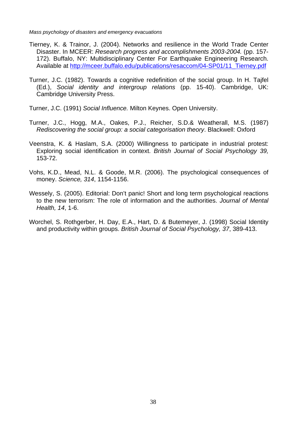- Tierney, K. & Trainor, J. (2004). Networks and resilience in the World Trade Center Disaster. In MCEER: *Research progress and accomplishments 2003-2004.* (pp. 157- 172). Buffalo, NY: Multidisciplinary Center For Earthquake Engineering Research. Available at [http://mceer.buffalo.edu/publications/resaccom/04-SP01/11\\_Tierney.pdf](http://mceer.buffalo.edu/publications/resaccom/04-SP01/11_Tierney.pdf)
- Turner, J.C. (1982). Towards a cognitive redefinition of the social group. In H. Tajfel (Ed.), *Social identity and intergroup relations* (pp. 15-40). Cambridge, UK: Cambridge University Press.

Turner, J.C. (1991) *Social Influence.* Milton Keynes. Open University.

- Turner, J.C., Hogg, M.A., Oakes, P.J., Reicher, S.D.& Weatherall, M.S. (1987) *Rediscovering the social group: a social categorisation theory*. Blackwell: Oxford
- Veenstra, K. & Haslam, S.A. (2000) Willingness to participate in industrial protest: Exploring social identification in context. *British Journal of Social Psychology 39,*  153-72.
- Vohs, K.D., Mead, N.L. & Goode, M.R. (2006). The psychological consequences of money. *Science, 314*, 1154-1156.
- Wessely, S. (2005). Editorial: Don't panic! Short and long term psychological reactions to the new terrorism: The role of information and the authorities. *Journal of Mental Health, 14*, 1-6.
- Worchel, S. Rothgerber, H. Day, E.A., Hart, D. & Butemeyer, J. (1998) Social Identity and productivity within groups. *British Journal of Social Psychology, 37*, 389-413.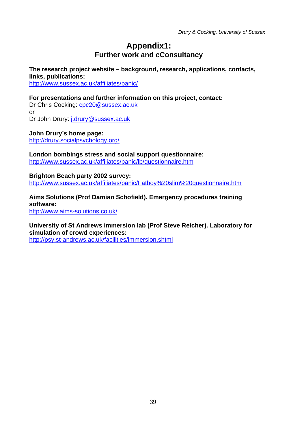### **Appendix1: Further work and cConsultancy**

#### **The research project website – background, research, applications, contacts, links, publications:**

<http://www.sussex.ac.uk/affiliates/panic/>

#### **For presentations and further information on this project, contact:**

Dr Chris Cocking: [cpc20@sussex.ac.uk](mailto:cpc20@sussex.ac.uk) or Dr John Drury: [j.drury@sussex.ac.uk](mailto:j.drury@sussex.ac.uk)

**John Drury's home page:**  http://drury.socialpsychology.org/

**London bombings stress and social support questionnaire:**  <http://www.sussex.ac.uk/affiliates/panic/lb/questionnaire.htm>

**Brighton Beach party 2002 survey:**  [http://www.sussex.ac.uk/affiliates/panic/Fatboy%20slim%20questionnaire.htm](http://www.sussex.ac.uk/affiliates/panic/Fatboy slim questionnaire.htm)

**Aims Solutions (Prof Damian Schofield). Emergency procedures training software:** <http://www.aims-solutions.co.uk/>

**University of St Andrews immersion lab (Prof Steve Reicher). Laboratory for simulation of crowd experiences:**  <http://psy.st-andrews.ac.uk/facilities/immersion.shtml>